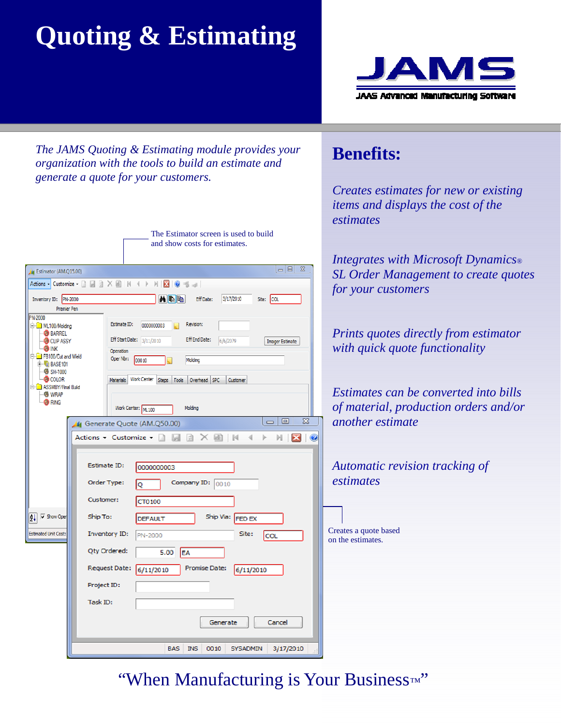# **Quoting & Estimating**



*The JAMS Quoting & Estimating module provides your organization with the tools to build an estimate and generate a quote for your customers.* 

> The Estimator screen is used to build and show costs for estimates.

| $\overline{\Sigma}$<br>$=$ $\boxed{0}$<br><sup>4</sup> Estimator (AM.Q15.00)                                                                                                                                                                                                                                                              | $\blacksquare$                 |
|-------------------------------------------------------------------------------------------------------------------------------------------------------------------------------------------------------------------------------------------------------------------------------------------------------------------------------------------|--------------------------------|
| Actions - Customize - D D 2 X B   K 4 F<br>$M$ $\boxtimes$ $\parallel$ $\odot$ $\parallel$ $\rightarrow$                                                                                                                                                                                                                                  | S                              |
| <b>Mag</b><br>Inventory ID: PN-2000<br>Eff Date:<br>3/17/2010<br>Site: COL                                                                                                                                                                                                                                                                | $f_0$                          |
| Premier Pen                                                                                                                                                                                                                                                                                                                               |                                |
| <b>PN-2000</b><br>Estimate ID:<br>Revision:<br>0000000003<br><b>E-C</b> ML100/Molding<br><b>BARREL</b><br>Eff Start Date: 3/11/2010<br><b>Eff End Date:</b><br>CLIP ASSY<br>6/6/2079<br><b>Imager Estimate</b><br><b>OD</b> INK<br>Operation<br>FB100/Cut and Weld<br>Oper Nbr:<br>100010<br>Molding<br>$E$ <b>E</b> BASE101<br>图 SH-1000 | $\overline{P}$<br>$\mathcal W$ |
| <b>B</b> COLOR<br>Materials Work Center Steps Tools<br>Overhead SPC<br>Customer<br><b>E-C</b> ASSMBY/Final Build<br>$-\mathbf{E}$ WRAP                                                                                                                                                                                                    | $E_{0}$                        |
| <b>B</b> RING<br>Work Center: ML 100<br>Molding                                                                                                                                                                                                                                                                                           | $Q_1$                          |
| 23<br>回<br>$\qquad \qquad \qquad \blacksquare$<br>4 Generate Quote (AM.Q50.00)                                                                                                                                                                                                                                                            | a                              |
| Actions - Customize - <b>A</b><br>- 21<br>ui)<br>N<br>$\times$<br>M<br>$\bullet$<br>Þ<br><b>P.S</b>                                                                                                                                                                                                                                       |                                |
| Estimate ID:<br>0000000003<br>Order Type:<br>Company ID:<br>0010<br>Q<br>Customer:<br>CT0100                                                                                                                                                                                                                                              | $A_{\cdot}$<br>$\ell$ s        |
| $\overline{\mathsf{v}}$ Show Oper<br>Ship To:<br>Ship Via: FED EX<br>∄l<br><b>DEFAULT</b>                                                                                                                                                                                                                                                 |                                |
| <b>Estimated Unit Cost:</b><br><b>Inventory ID:</b><br>Site:<br>PN-2000<br>COL                                                                                                                                                                                                                                                            | Crea<br>on t                   |
| Qty Ordered:<br>5.00<br>EA                                                                                                                                                                                                                                                                                                                |                                |
| <b>Request Date:</b><br><b>Promise Date:</b><br>6/11/2010<br>6/11/2010                                                                                                                                                                                                                                                                    |                                |
| Project ID:                                                                                                                                                                                                                                                                                                                               |                                |
| Task ID:                                                                                                                                                                                                                                                                                                                                  |                                |
| Cancel<br>Generate                                                                                                                                                                                                                                                                                                                        |                                |
| <b>BAS</b><br><b>INS</b><br>0010<br><b>SYSADMIN</b><br>3/17/2010<br>38                                                                                                                                                                                                                                                                    |                                |

#### **Benefits:**

*Creates estimates for new or existing items and displays the cost of the estimates* 

*Integrates with Microsoft Dynamics® SL Order Management to create quotes for your customers* 

*Prints quotes directly from estimator with quick quote functionality* 

*Estimates can be converted into bills of material, production orders and/or another estimate* 

*Automatic revision tracking of estimates* 

ates a quote based he estimates.

### "When Manufacturing is Your Business*™* "